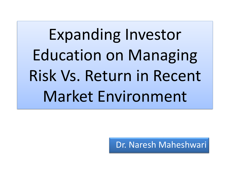# Expanding Investor Education on Managing Risk Vs. Return in Recent Market Environment

Dr. Naresh Maheshwari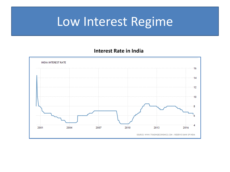# Low Interest Regime

#### **Interest Rate in India**

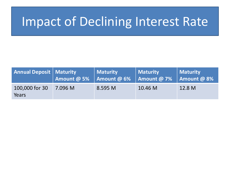### Impact of Declining Interest Rate

| <b>Annual Deposit   Maturity</b> | Amount @ 5% $\overline{\phantom{a}}$ Amount @ 6% | Maturity | Maturity<br>$\vert$ Amount @ 7% | Maturity<br>Amount @ 8% |
|----------------------------------|--------------------------------------------------|----------|---------------------------------|-------------------------|
| 100,000 for 30<br>Years          | 7.096 M                                          | 8.595 M  | 10.46 M                         | 12.8 M                  |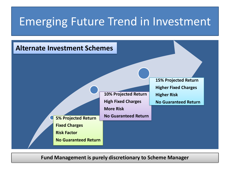#### Emerging Future Trend in Investment



**Fund Management is purely discretionary to Scheme Manager**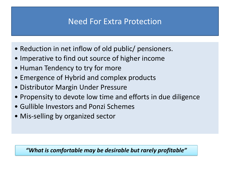#### Need For Extra Protection

- Reduction in net inflow of old public/ pensioners.
- Imperative to find out source of higher income
- Human Tendency to try for more
- Emergence of Hybrid and complex products
- Distributor Margin Under Pressure
- Propensity to devote low time and efforts in due diligence
- Gullible Investors and Ponzi Schemes
- Mis-selling by organized sector

*"What is comfortable may be desirable but rarely profitable"*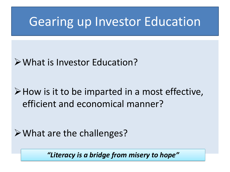### Gearing up Investor Education

#### What is Investor Education?

#### $\triangleright$  How is it to be imparted in a most effective, efficient and economical manner?

#### What are the challenges?

*"Literacy is a bridge from misery to hope"*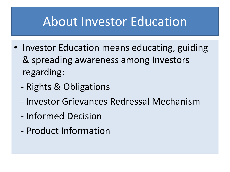### About Investor Education

- Investor Education means educating, guiding & spreading awareness among Investors regarding:
	- Rights & Obligations
	- Investor Grievances Redressal Mechanism
	- Informed Decision
	- Product Information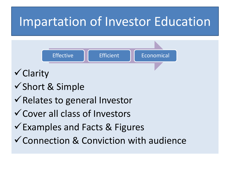# Impartation of Investor Education

Effective **Exercise Efficient Exercise** Economical

 $\checkmark$  Clarity

- $\checkmark$  Short & Simple
- $\checkmark$  Relates to general Investor
- Cover all class of Investors
- $\checkmark$  Examples and Facts & Figures
- $\checkmark$  Connection & Conviction with audience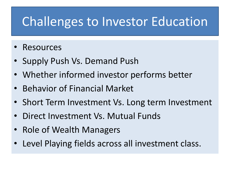# Challenges to Investor Education

- **Resources**
- Supply Push Vs. Demand Push
- Whether informed investor performs better
- Behavior of Financial Market
- Short Term Investment Vs. Long term Investment
- Direct Investment Vs. Mutual Funds
- Role of Wealth Managers
- Level Playing fields across all investment class.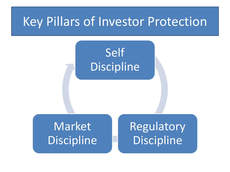### Key Pillars of Investor Protection

### Self **Discipline**

Market **Discipline**  Regulatory Discipline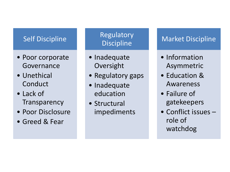#### Self Discipline

- Poor corporate Governance
- Unethical Conduct
- Lack of **Transparency**
- Poor Disclosure
- Greed & Fear

#### Regulatory **Discipline**

- Inadequate Oversight
- Regulatory gaps
- Inadequate education
- Structural impediments

#### Market Discipline

- Information Asymmetric
- Education & Awareness
- Failure of gatekeepers
- Conflict issues role of watchdog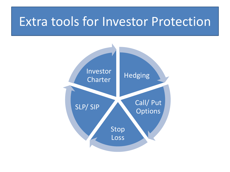### Extra tools for Investor Protection

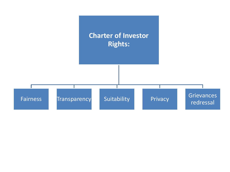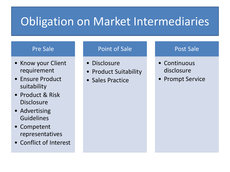### Obligation on Market Intermediaries

#### Pre Sale

- Know your Client requirement
- Ensure Product suitability
- Product & Risk **Disclosure**
- Advertising Guidelines
- Competent representatives
- Conflict of Interest

#### Point of Sale

- Disclosure
- Product Suitability
- Sales Practice

#### Post Sale

- Continuous disclosure
- Prompt Service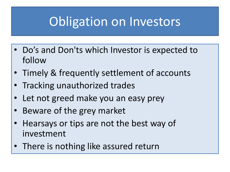# Obligation on Investors

- Do's and Don'ts which Investor is expected to follow
- Timely & frequently settlement of accounts
- Tracking unauthorized trades
- Let not greed make you an easy prey
- Beware of the grey market
- Hearsays or tips are not the best way of investment
- There is nothing like assured return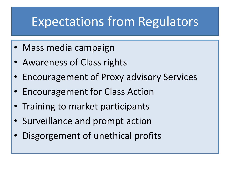### Expectations from Regulators

- Mass media campaign
- Awareness of Class rights
- Encouragement of Proxy advisory Services
- Encouragement for Class Action
- Training to market participants
- Surveillance and prompt action
- Disgorgement of unethical profits